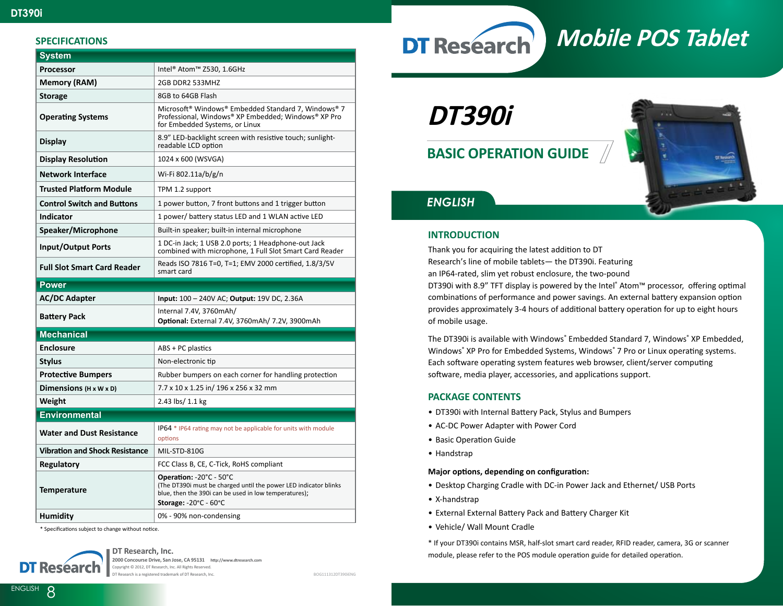## **SPECIFICATIONS**

| <b>System</b>                                     |                                                                                                                                                                                                   |  |
|---------------------------------------------------|---------------------------------------------------------------------------------------------------------------------------------------------------------------------------------------------------|--|
| Processor                                         | Intel® Atom™ Z530, 1.6GHz                                                                                                                                                                         |  |
| Memory (RAM)                                      | 2GB DDR2 533MHZ                                                                                                                                                                                   |  |
| <b>Storage</b>                                    | 8GB to 64GB Flash                                                                                                                                                                                 |  |
| <b>Operating Systems</b>                          | Microsoft® Windows® Embedded Standard 7, Windows® 7<br>Professional, Windows® XP Embedded; Windows® XP Pro<br>for Embedded Systems, or Linux                                                      |  |
| <b>Display</b>                                    | 8.9" LED-backlight screen with resistive touch; sunlight-<br>readable LCD option                                                                                                                  |  |
| <b>Display Resolution</b>                         | 1024 x 600 (WSVGA)                                                                                                                                                                                |  |
| <b>Network Interface</b>                          | Wi-Fi 802.11a/b/g/n                                                                                                                                                                               |  |
| <b>Trusted Platform Module</b><br>TPM 1.2 support |                                                                                                                                                                                                   |  |
| <b>Control Switch and Buttons</b>                 | 1 power button, 7 front buttons and 1 trigger button                                                                                                                                              |  |
| <b>Indicator</b>                                  | 1 power/ battery status LED and 1 WLAN active LED                                                                                                                                                 |  |
| Speaker/Microphone                                | Built-in speaker; built-in internal microphone                                                                                                                                                    |  |
| <b>Input/Output Ports</b>                         | 1 DC-in Jack; 1 USB 2.0 ports; 1 Headphone-out Jack<br>combined with microphone, 1 Full Slot Smart Card Reader                                                                                    |  |
| <b>Full Slot Smart Card Reader</b>                | Reads ISO 7816 T=0, T=1; EMV 2000 certified, 1.8/3/5V<br>smart card                                                                                                                               |  |
|                                                   |                                                                                                                                                                                                   |  |
| <b>Power</b>                                      |                                                                                                                                                                                                   |  |
| <b>AC/DC Adapter</b>                              | Input: 100 - 240V AC; Output: 19V DC, 2.36A                                                                                                                                                       |  |
| <b>Battery Pack</b>                               | Internal 7.4V, 3760mAh/<br>Optional: External 7.4V, 3760mAh/ 7.2V, 3900mAh                                                                                                                        |  |
| <b>Mechanical</b>                                 |                                                                                                                                                                                                   |  |
| <b>Enclosure</b>                                  | ABS + PC plastics                                                                                                                                                                                 |  |
| <b>Stylus</b>                                     | Non-electronic tip                                                                                                                                                                                |  |
| <b>Protective Bumpers</b>                         | Rubber bumpers on each corner for handling protection                                                                                                                                             |  |
| Dimensions $(H \times W \times D)$                | 7.7 x 10 x 1.25 in/ 196 x 256 x 32 mm                                                                                                                                                             |  |
| Weight                                            | 2.43 lbs/ 1.1 kg                                                                                                                                                                                  |  |
| <b>Environmental</b>                              |                                                                                                                                                                                                   |  |
| <b>Water and Dust Resistance</b>                  | <b>IP64</b> * IP64 rating may not be applicable for units with module<br>options                                                                                                                  |  |
| <b>Vibration and Shock Resistance</b>             | MIL-STD-810G                                                                                                                                                                                      |  |
| Regulatory                                        | FCC Class B, CE, C-Tick, RoHS compliant                                                                                                                                                           |  |
| <b>Temperature</b>                                | Operation: -20°C - 50°C<br>(The DT390i must be charged until the power LED indicator blinks<br>blue, then the 390i can be used in low temperatures);<br>Storage: $-20^{\circ}$ C - $60^{\circ}$ C |  |

\* Specifications subject to change without notice.



**DT Research, Inc. 2000 Concourse Drive, San Jose, CA 95131 http://www.dtresearch.com**  Copyright © 2012, DT Research, Inc. All Rights Reserved. DT Research is a registered trademark of DT Research, Inc.

BOG111312DT390iENG



# **Mobile POS Tablet**

# **DT390i**

**BASIC OPERATION GUIDE**



# *ENGLISH*

#### **INTRODUCTION**

Thank you for acquiring the latest addition to DT Research's line of mobile tablets— the DT390i. Featuring an IP64-rated, slim yet robust enclosure, the two-pound

DT390i with 8.9" TFT display is powered by the Intel® Atom™ processor, offering optimal combinations of performance and power savings. An external battery expansion option provides approximately 3-4 hours of additional battery operation for up to eight hours of mobile usage.

The DT390i is available with Windows® Embedded Standard 7, Windows® XP Embedded, Windows® XP Pro for Embedded Systems, Windows® 7 Pro or Linux operating systems. Each software operating system features web browser, client/server computing software, media player, accessories, and applications support.

# **PACKAGE CONTENTS**

- DT390i with Internal Battery Pack, Stylus and Bumpers
- AC-DC Power Adapter with Power Cord
- Basic Operation Guide
- Handstrap

#### **Major options, depending on configuration:**

- Desktop Charging Cradle with DC-in Power Jack and Ethernet/ USB Ports
- X-handstrap
- External External Battery Pack and Battery Charger Kit
- Vehicle/ Wall Mount Cradle

\* If your DT390i contains MSR, half-slot smart card reader, RFID reader, camera, 3G or scanner module, please refer to the POS module operation guide for detailed operation.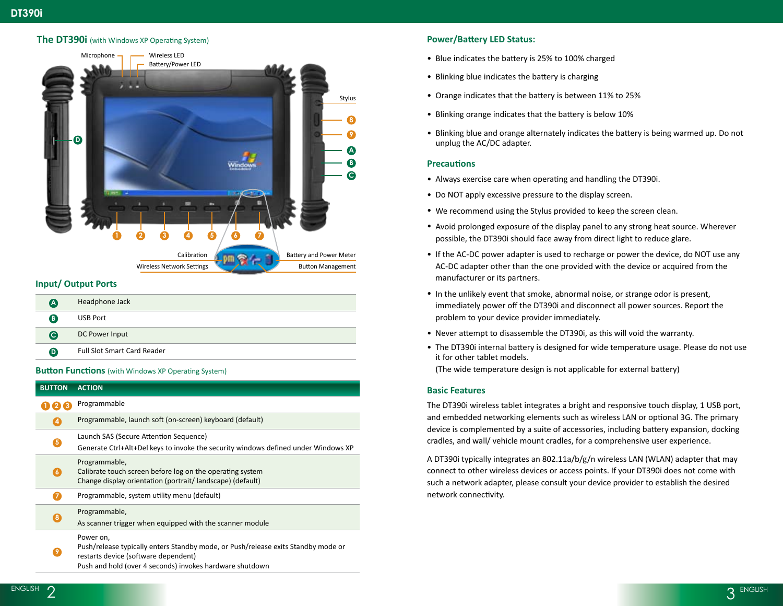## **The DT390i** (with Windows XP Operating System)



#### **Input/ Output Ports**

| A         | Headphone Jack                     |
|-----------|------------------------------------|
| B)        | USB Port                           |
| $\bullet$ | DC Power Input                     |
| Đ         | <b>Full Slot Smart Card Reader</b> |

**Button Functions** (with Windows XP Operating System)

| <b>BUTTON</b>  | <b>ACTION</b>                                                                                                                                                                                      |
|----------------|----------------------------------------------------------------------------------------------------------------------------------------------------------------------------------------------------|
|                | Programmable                                                                                                                                                                                       |
|                | Programmable, launch soft (on-screen) keyboard (default)                                                                                                                                           |
| 6              | Launch SAS (Secure Attention Sequence)<br>Generate Ctrl+Alt+Del keys to invoke the security windows defined under Windows XP                                                                       |
| $\overline{6}$ | Programmable,<br>Calibrate touch screen before log on the operating system<br>Change display orientation (portrait/landscape) (default)                                                            |
|                | Programmable, system utility menu (default)                                                                                                                                                        |
| 8              | Programmable,<br>As scanner trigger when equipped with the scanner module                                                                                                                          |
| 9              | Power on,<br>Push/release typically enters Standby mode, or Push/release exits Standby mode or<br>restarts device (software dependent)<br>Push and hold (over 4 seconds) invokes hardware shutdown |

# **Power/Battery LED Status:**

- Blue indicates the battery is 25% to 100% charged
- Blinking blue indicates the battery is charging
- Orange indicates that the battery is between 11% to 25%
- Blinking orange indicates that the battery is below 10%
- Blinking blue and orange alternately indicates the battery is being warmed up. Do not unplug the AC/DC adapter.

#### **Precautions**

- Always exercise care when operating and handling the DT390i.
- Do NOT apply excessive pressure to the display screen.
- We recommend using the Stylus provided to keep the screen clean.
- Avoid prolonged exposure of the display panel to any strong heat source. Wherever possible, the DT390i should face away from direct light to reduce glare.
- If the AC-DC power adapter is used to recharge or power the device, do NOT use any AC-DC adapter other than the one provided with the device or acquired from the manufacturer or its partners.
- In the unlikely event that smoke, abnormal noise, or strange odor is present, immediately power off the DT390i and disconnect all power sources. Report the problem to your device provider immediately.
- Never attempt to disassemble the DT390i, as this will void the warranty.
- The DT390i internal battery is designed for wide temperature usage. Please do not use it for other tablet models.

(The wide temperature design is not applicable for external battery)

#### **Basic Features**

The DT390i wireless tablet integrates a bright and responsive touch display, 1 USB port, and embedded networking elements such as wireless LAN or optional 3G. The primary device is complemented by a suite of accessories, including battery expansion, docking cradles, and wall/ vehicle mount cradles, for a comprehensive user experience.

A DT390i typically integrates an 802.11a/b/g/n wireless LAN (WLAN) adapter that may connect to other wireless devices or access points. If your DT390i does not come with such a network adapter, please consult your device provider to establish the desired network connectivity.

ENGLISH  $2$  3 ENGLISH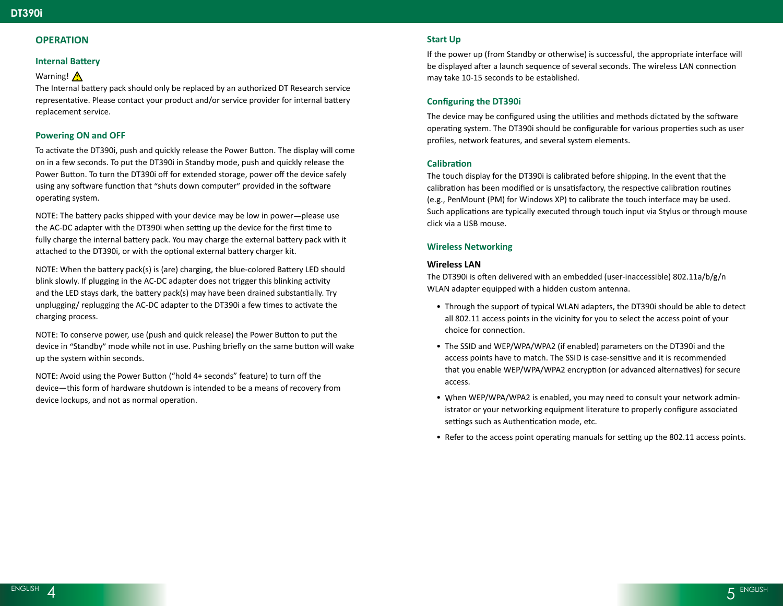# **OPERATION**

#### **Internal Battery**

#### Warning! **!**

The Internal battery pack should only be replaced by an authorized DT Research service representative. Please contact your product and/or service provider for internal battery replacement service.

#### **Powering ON and OFF**

To activate the DT390i, push and quickly release the Power Button. The display will come on in a few seconds. To put the DT390i in Standby mode, push and quickly release the Power Button. To turn the DT390i off for extended storage, power off the device safely using any software function that "shuts down computer" provided in the software operating system.

NOTE: The battery packs shipped with your device may be low in power—please use the AC-DC adapter with the DT390i when setting up the device for the first time to fully charge the internal battery pack. You may charge the external battery pack with it attached to the DT390i, or with the optional external battery charger kit.

NOTE: When the battery pack(s) is (are) charging, the blue-colored Battery LED should blink slowly. If plugging in the AC-DC adapter does not trigger this blinking activity and the LED stays dark, the battery pack(s) may have been drained substantially. Try unplugging/ replugging the AC-DC adapter to the DT390i a few times to activate the charging process.

NOTE: To conserve power, use (push and quick release) the Power Button to put the device in "Standby" mode while not in use. Pushing briefly on the same button will wake up the system within seconds.

NOTE: Avoid using the Power Button ("hold 4+ seconds" feature) to turn off the device—this form of hardware shutdown is intended to be a means of recovery from device lockups, and not as normal operation.

#### **Start Up**

If the power up (from Standby or otherwise) is successful, the appropriate interface will be displayed after a launch sequence of several seconds. The wireless LAN connection may take 10-15 seconds to be established.

#### **Configuring the DT390i**

The device may be configured using the utilities and methods dictated by the software operating system. The DT390i should be configurable for various properties such as user profiles, network features, and several system elements.

#### **Calibration**

The touch display for the DT390i is calibrated before shipping. In the event that the calibration has been modified or is unsatisfactory, the respective calibration routines (e.g., PenMount (PM) for Windows XP) to calibrate the touch interface may be used. Such applications are typically executed through touch input via Stylus or through mouse click via a USB mouse.

#### **Wireless Networking**

#### **Wireless LAN**

The DT390i is often delivered with an embedded (user-inaccessible) 802.11a/b/g/n WLAN adapter equipped with a hidden custom antenna.

- Through the support of typical WLAN adapters, the DT390i should be able to detect all 802.11 access points in the vicinity for you to select the access point of your choice for connection.
- The SSID and WEP/WPA/WPA2 (if enabled) parameters on the DT390i and the access points have to match. The SSID is case-sensitive and it is recommended that you enable WEP/WPA/WPA2 encryption (or advanced alternatives) for secure access.
- When WEP/WPA/WPA2 is enabled, you may need to consult your network administrator or your networking equipment literature to properly configure associated settings such as Authentication mode, etc.
- Refer to the access point operating manuals for setting up the 802.11 access points.